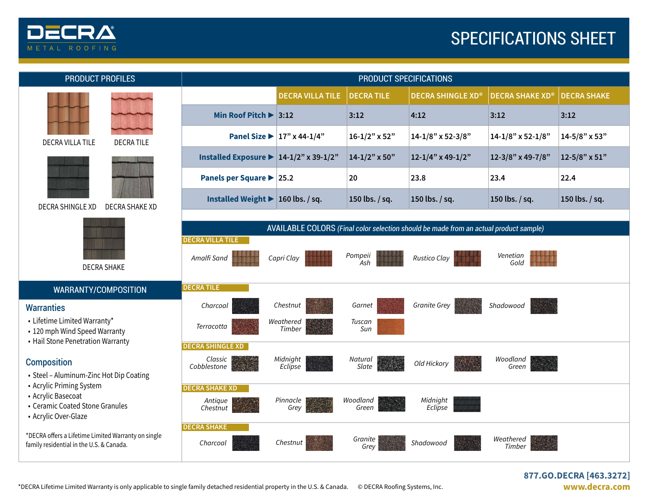

# SPECIFICATIONS SHEET

| <b>PRODUCT PROFILES</b>                                                                                                                                                    | PRODUCT SPECIFICATIONS                                     |                                                |                    |                                                                                       |                        |                    |
|----------------------------------------------------------------------------------------------------------------------------------------------------------------------------|------------------------------------------------------------|------------------------------------------------|--------------------|---------------------------------------------------------------------------------------|------------------------|--------------------|
| <b>DECRA VILLA TILE</b><br><b>DECRATILE</b>                                                                                                                                |                                                            | <b>DECRA VILLA TILE</b>                        | <b>DECRATILE</b>   | <b>DECRA SHINGLE XD®</b>                                                              | <b>DECRA SHAKE XD®</b> | <b>DECRA SHAKE</b> |
|                                                                                                                                                                            | Min Roof Pitch $\blacktriangleright$ 3:12                  |                                                | 3:12               | 4:12                                                                                  | 3:12                   | 3:12               |
|                                                                                                                                                                            |                                                            | Panel Size $\blacktriangleright$ 17" x 44-1/4" | $16 - 1/2$ " x 52" | 14-1/8" x 52-3/8"                                                                     | $14 - 1/8$ " x 52-1/8" | 14-5/8" x 53"      |
| <b>DECRA SHINGLE XD</b><br><b>DECRA SHAKE XD</b><br><b>DECRA SHAKE</b>                                                                                                     | Installed Exposure $\blacktriangleright$ 14-1/2" x 39-1/2" |                                                | $14 - 1/2$ " x 50" | 12-1/4" x 49-1/2"                                                                     | 12-3/8" x 49-7/8"      | 12-5/8" x 51"      |
|                                                                                                                                                                            | Panels per Square > 25.2                                   |                                                | 20                 | 23.8                                                                                  | 23.4                   | 22.4               |
|                                                                                                                                                                            | Installed Weight $\blacktriangleright$ 160 lbs. / sq.      |                                                | 150 lbs. / sq.     | 150 lbs. / sq.                                                                        | 150 lbs. / sq.         | 150 lbs. / sq.     |
|                                                                                                                                                                            |                                                            |                                                |                    |                                                                                       |                        |                    |
|                                                                                                                                                                            | <b>DECRA VILLA TILE</b>                                    |                                                |                    | AVAILABLE COLORS (Final color selection should be made from an actual product sample) |                        |                    |
|                                                                                                                                                                            | Amalfi Sand                                                | Capri Clay                                     | Pompeii<br>Ash     | <b>Rustico Clay</b>                                                                   | Venetian<br>Gold       |                    |
| <b>WARRANTY/COMPOSITION</b>                                                                                                                                                | <b>DECRATILE</b>                                           |                                                |                    |                                                                                       |                        |                    |
| <b>Warranties</b><br>• Lifetime Limited Warranty*<br>• 120 mph Wind Speed Warranty<br>• Hail Stone Penetration Warranty                                                    | Charcoal                                                   | Chestnut                                       | Garnet             | <b>Granite Grey</b>                                                                   | Shadowood              |                    |
|                                                                                                                                                                            | Terracotta                                                 | Weathered<br>Timber                            | Tuscan<br>Sun      |                                                                                       |                        |                    |
|                                                                                                                                                                            | <b>DECRA SHINGLE XD</b>                                    |                                                |                    |                                                                                       |                        |                    |
| <b>Composition</b><br>• Steel - Aluminum-Zinc Hot Dip Coating<br>• Acrylic Priming System<br>• Acrylic Basecoat<br>• Ceramic Coated Stone Granules<br>• Acrylic Over-Glaze | Classic<br>Cobblestone                                     | Midnight<br>Eclipse                            | Natural<br>Slate   | Old Hickory                                                                           | Woodland<br>Green      |                    |
|                                                                                                                                                                            | <b>DECRA SHAKE XD</b>                                      |                                                |                    |                                                                                       |                        |                    |
|                                                                                                                                                                            | Antique<br>Chestnut                                        | Pinnacle<br>Grey                               | Woodland<br>Green  | Midnight<br>Eclipse                                                                   |                        |                    |
| *DECRA offers a Lifetime Limited Warranty on single<br>family residential in the U.S. & Canada.                                                                            | <b>DECRA SHAKE</b><br>Charcoal                             | Chestnut                                       | Granite<br>Grey    | Shadowood                                                                             | Weathered<br>Timber    |                    |
|                                                                                                                                                                            |                                                            |                                                |                    |                                                                                       |                        |                    |

#### **877.GO.DECRA [463.3272] www.decra.com**